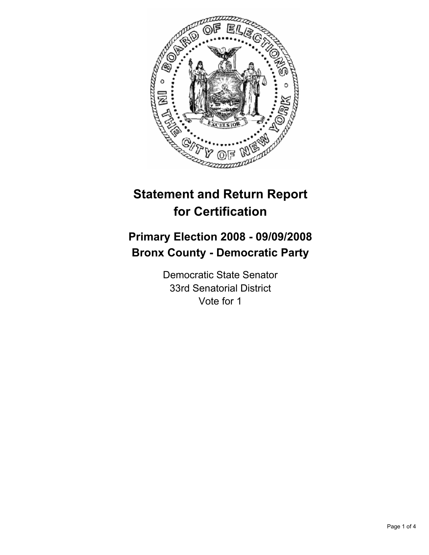

# **Statement and Return Report for Certification**

## **Primary Election 2008 - 09/09/2008 Bronx County - Democratic Party**

Democratic State Senator 33rd Senatorial District Vote for 1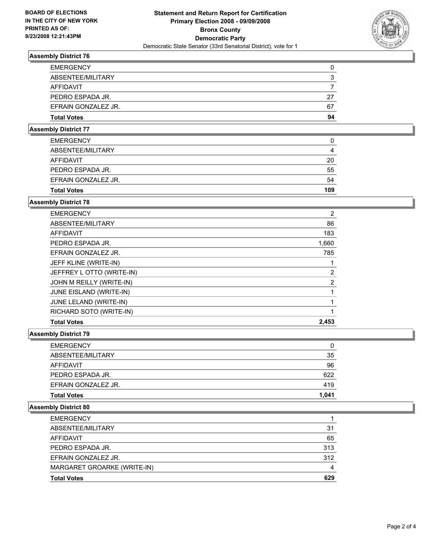

## **Assembly District 76**

| <b>EMERGENCY</b>    |    |
|---------------------|----|
| ABSENTEE/MILITARY   |    |
| <b>AFFIDAVIT</b>    |    |
| PEDRO ESPADA JR.    | 27 |
| EFRAIN GONZALEZ JR. | 67 |
| <b>Total Votes</b>  | 94 |

#### **Assembly District 77**

| <b>EMERGENCY</b>    | U   |
|---------------------|-----|
| ABSENTEE/MILITARY   |     |
| AFFIDAVIT           | 20  |
| PEDRO ESPADA JR.    | 55  |
| EFRAIN GONZALEZ JR. | 54  |
| <b>Total Votes</b>  | 109 |
|                     |     |

## **Assembly District 78**

| <b>Total Votes</b>        | 2,453 |
|---------------------------|-------|
| RICHARD SOTO (WRITE-IN)   |       |
| JUNE LELAND (WRITE-IN)    |       |
| JUNE EISLAND (WRITE-IN)   |       |
| JOHN M REILLY (WRITE-IN)  | 2     |
| JEFFREY L OTTO (WRITE-IN) | 2     |
| JEFF KLINE (WRITE-IN)     |       |
| EFRAIN GONZALEZ JR.       | 785   |
| PEDRO ESPADA JR.          | 1,660 |
| AFFIDAVIT                 | 183   |
| ABSENTEE/MILITARY         | 86    |
| <b>EMERGENCY</b>          | 2     |

#### **Assembly District 79**

| <b>EMERGENCY</b>    | 0     |
|---------------------|-------|
| ABSENTEE/MILITARY   | 35    |
| <b>AFFIDAVIT</b>    | 96    |
| PEDRO ESPADA JR.    | 622   |
| EFRAIN GONZALEZ JR. | 419   |
| <b>Total Votes</b>  | 1,041 |

### **Assembly District 80**

| <b>EMERGENCY</b>            |     |
|-----------------------------|-----|
| ABSENTEE/MILITARY           | 31  |
| AFFIDAVIT                   | 65  |
| PEDRO ESPADA JR.            | 313 |
| EFRAIN GONZALEZ JR.         | 312 |
| MARGARET GROARKE (WRITE-IN) |     |
| <b>Total Votes</b>          | 629 |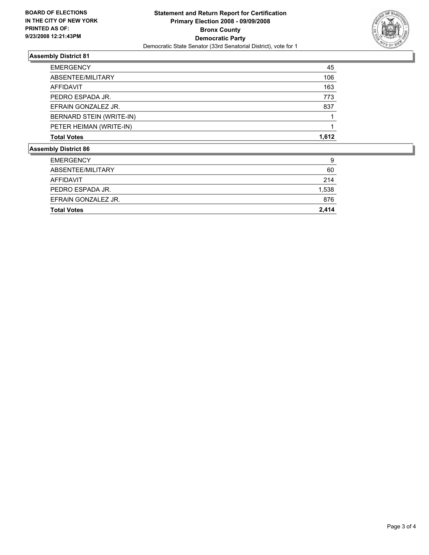

### **Assembly District 81**

| <b>Assembly District 86</b> |       |
|-----------------------------|-------|
| <b>Total Votes</b>          | 1,612 |
| PETER HEIMAN (WRITE-IN)     |       |
| BERNARD STEIN (WRITE-IN)    |       |
| EFRAIN GONZALEZ JR.         | 837   |
| PEDRO ESPADA JR.            | 773   |
| AFFIDAVIT                   | 163   |
| ABSENTEE/MILITARY           | 106   |
| <b>EMERGENCY</b>            | 45    |

| <b>Total Votes</b>  | 2,414 |
|---------------------|-------|
| EFRAIN GONZALEZ JR. | 876   |
| PEDRO ESPADA JR.    | 1,538 |
| AFFIDAVIT           | 214   |
| ABSENTEE/MILITARY   | 60    |
| <b>EMERGENCY</b>    | 9     |